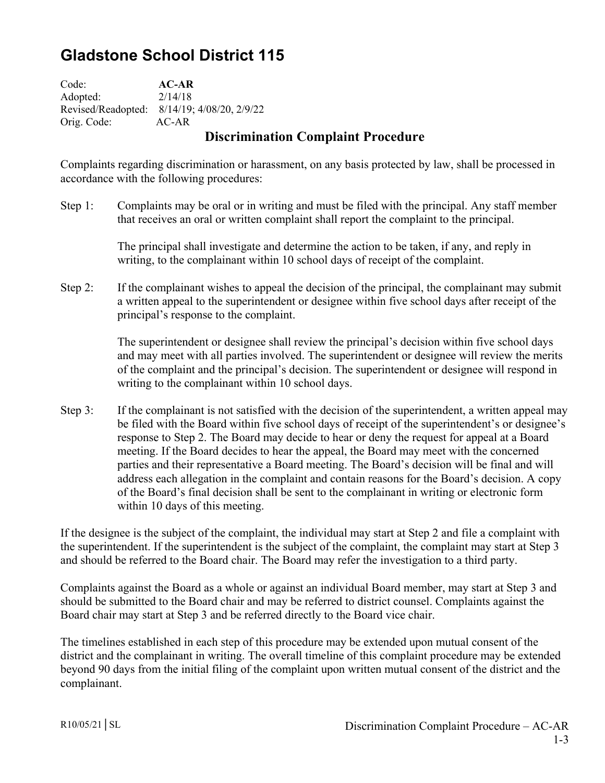## **Gladstone School District 115**

Code: **AC-AR**  Adopted: 2/14/18 Revised/Readopted: 8/14/19; 4/08/20, 2/9/22 Orig. Code: AC-AR

## **Discrimination Complaint Procedure**

Complaints regarding discrimination or harassment, on any basis protected by law, shall be processed in accordance with the following procedures:

Step 1: Complaints may be oral or in writing and must be filed with the principal. Any staff member that receives an oral or written complaint shall report the complaint to the principal.

> The principal shall investigate and determine the action to be taken, if any, and reply in writing, to the complainant within 10 school days of receipt of the complaint.

Step 2: If the complainant wishes to appeal the decision of the principal, the complainant may submit a written appeal to the superintendent or designee within five school days after receipt of the principal's response to the complaint.

> The superintendent or designee shall review the principal's decision within five school days and may meet with all parties involved. The superintendent or designee will review the merits of the complaint and the principal's decision. The superintendent or designee will respond in writing to the complainant within 10 school days.

Step 3: If the complainant is not satisfied with the decision of the superintendent, a written appeal may be filed with the Board within five school days of receipt of the superintendent's or designee's response to Step 2. The Board may decide to hear or deny the request for appeal at a Board meeting. If the Board decides to hear the appeal, the Board may meet with the concerned parties and their representative a Board meeting. The Board's decision will be final and will address each allegation in the complaint and contain reasons for the Board's decision. A copy of the Board's final decision shall be sent to the complainant in writing or electronic form within 10 days of this meeting.

If the designee is the subject of the complaint, the individual may start at Step 2 and file a complaint with the superintendent. If the superintendent is the subject of the complaint, the complaint may start at Step 3 and should be referred to the Board chair. The Board may refer the investigation to a third party.

Complaints against the Board as a whole or against an individual Board member, may start at Step 3 and should be submitted to the Board chair and may be referred to district counsel. Complaints against the Board chair may start at Step 3 and be referred directly to the Board vice chair.

The timelines established in each step of this procedure may be extended upon mutual consent of the district and the complainant in writing. The overall timeline of this complaint procedure may be extended beyond 90 days from the initial filing of the complaint upon written mutual consent of the district and the complainant.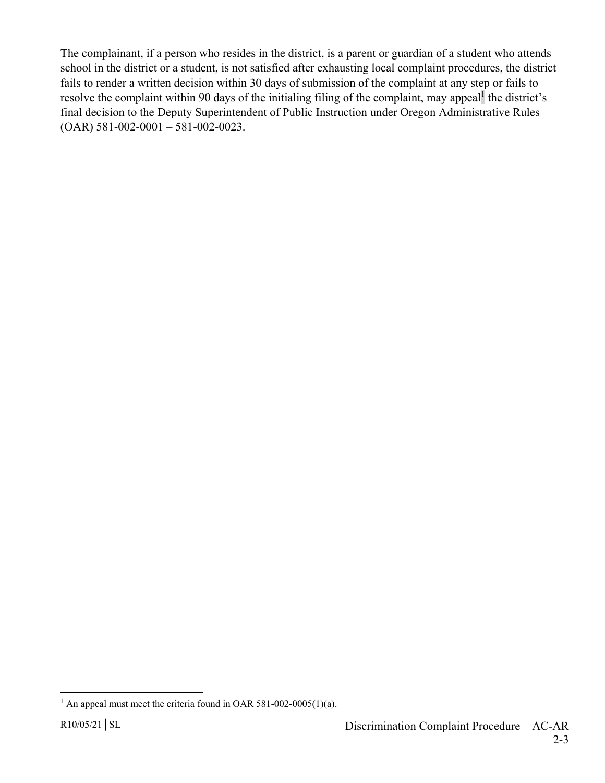The complainant, if a person who resides in the district, is a parent or guardian of a student who attends school in the district or a student, is not satisfied after exhausting local complaint procedures, the district fails to render a written decision within 30 days of submission of the complaint at any step or fails to resolve the complaint within 90 days of the initialing filing of the complaint, may appeal<sup>1</sup> the district's final decision to the Deputy Superintendent of Public Instruction under Oregon Administrative Rules (OAR) 581-002-0001 – 581-002-0023.

 $\overline{a}$ 

<sup>&</sup>lt;sup>1</sup> An appeal must meet the criteria found in OAR 581-002-0005(1)(a).